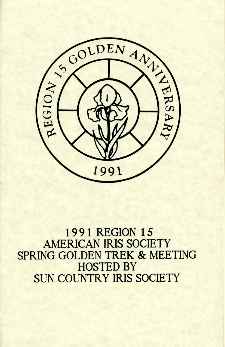

**1991 REGION 15 AMERICAN IRIS SOCIETY** SPRING GOLDEN TREK & MEETING **HOSTED BY SUN COUNTRY IRIS SOCIETY**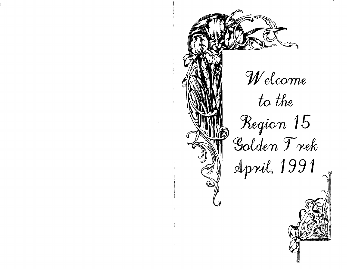

W el come

to the

Region 15 Golden Trek

April, 1991

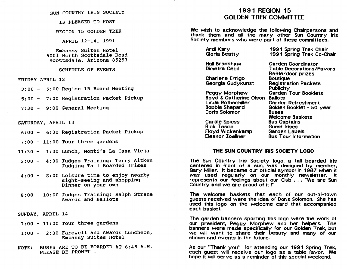#### SUN COUNTRY IRIS SOCIETY

IS PLEASED TO HOST

REGION 15 GOLDEN TREK

APRIL 12-14, 1991

Embassy Suites Hotel 5001 North Scottsdale Road Scottsdale, Arizona 85253

SCHEDULE OF EVENTS

FRIDAY APRIL 12

3:00 - 5:00 Region 15 Board Meeting

5:00 - 7:00 Registration Packet Pickup

7:30 - 9:00 General Meeting

SATURDAY, APRIL 13

6:00 - 6:30 Registration Packet pickup

 $7:00 - 11:00$  Tour three gardens

- 11:30 1:00 Lunch, Monti's La Casa Vieja
- 2:00 4:00 Judges Training: Terry Aitken Judging Tall Bearded Irises
- 4:00 8:00 Leisure time to enjoy nearby sight-seeing and shopping Dinner on your own
- 8:00 10:00 Judges Training: Ralph Strane Awards and Ballots
- SUNDAY, APRIL 14

7:00 - 11:00 Tour three gardens

- 1:00 2:30 Farewell and Awards Luncheon, Embassy suites Hotel
- NOTE: BUSES ARE TO BE BOARDED AT 6:45 A.M. PLEASE BE PROMPT !

# 1991 REGION 15 GOLDEN TREK COMMITTEE

We wish to acknowledge the following Chairpersons and thank them and all the many other Sun Country Iris Society members who were part of these committees.

Ardi Kary Gloria Beatty

Hall Bradshaw Dimetra Cecil

Charlene Errigo Georgia Gudykunst

Peggy Morphew Boyd & Catherine Olson Ballots Linda Rothschiller Bobbie Shepard Doris Solomon

Carole Spiess Rick Tasco Floyd Wickenkamp Eleanor Zoellner

199 1 Spring Trek Chair 1991 Spring Trek Co-Chair

Garden Coordinator Table Decorations/Favors Raffle/door prizes **Boutique** Registration Packets **Publicity** Garden Tour Booklets Garden Refreshment Golden Booklet - 50 year Buses Welcome Baskets Bus Captains Guest Irises Garden Labels Bus Tour Information

### THE SUN COUNTRY IRIS SOCIETY LOGO

The Sun Country Iris Society logo, a tall bearded iris centered in front of a sun, was designed by member, Gary Miller. It became our official symbol in 1987 when it was used regularly on our monthly newsletter. It represents our feelings about our Club . . . "We are Sun Country and we are proud of it !"'

The welcome baskets that each of our out-oF-town guests received were the idea of Doris Solomon. She has used this logo on the welcome card that accompanied each basket.

The garden banners sporting this logo were the work of our president, Peggy Morphew and her helpers. The banners were made specifically for our Golden Trek, but we will want to share their beauty and many of our shows and events in the future.

As our "Thank you" for attending our 1991 Spring Trek, each guest will receive our logo as a table favor. We hope it will serve as a reminder of this special weekend.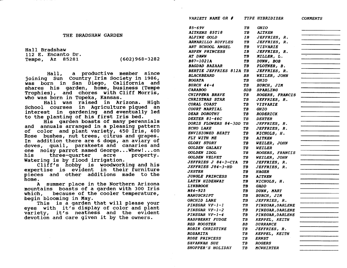|  | THE BRADSHAW GARDEN |  |
|--|---------------------|--|
|--|---------------------|--|

Hall Bradshaw 112 E. Encanto Dr. Tempe, Az 85281 (602)968-3282

Hall, a productive member since joining Sun Country Iris Society in 1986, was born in San Diego, California and shares his garden, home, business (Tempe Trophies), and chores with Cliff Morris, who was born in Topeka, Kansas.<br>Hall was raised in Arizona. High

School courses in Agriculture piqued an interest in gardening and eventually led to the planting of his first Iris bed.<br>His garden boasts of many perennials

and annuals arranged in a pleasing pattern of color and plant variety, 450 Ir1s, 400 Rose bushes, nut trees, citrus and grapes. In addition there are 6 dogs, an aviary of doves, quail, parakeets and canaries and one noisy parrot named George...Whew!...on<br>his three-quarter acre property. three-quarter Watering is by flood irrigation.

 $Cliff's$  hobby is woodworking and his expertise is evident in their furniture pieces and other additions made to the home.

A summer place in the Northern Arizona mountains boasts of a garden with 300 Iris which, because of the cooler temperature,<br>begin blooming in May.

This is a garden that will please your eyes with it's display of color and plant variety, it's neatness and the evident devotion and care g1ven 1t by the owners.

| <i>VARIETY NAME OR #</i>          |            | <i>TYPE HYBRIDIZER</i>  | <i><b>COMMENTS</b></i> |
|-----------------------------------|------------|-------------------------|------------------------|
| 85–69V                            | TB         | <i><b>GHIO</b></i>      |                        |
| AITKENS 85T18                     | TB         | <i><b>AITKEN</b></i>    |                        |
| ALPINE GOLD                       | IB         | JEFFRIES, R.            |                        |
| <b>ARMARILLO RUFFLES</b>          | TB         | JEFFRIES, R.            |                        |
| ART SCHOOL ANGEL                  | TB         | <b>VIZVARIE</b>         |                        |
| <b>ASPEN PRINCESS</b>             | IB         | JEFFRIES, R.            |                        |
| AT DAWN                           | TB         | MILLER, L.              | ╤                      |
| B87-1021A                         | TB         | DUNN, BOB               |                        |
| <b>BAGDAD BAZAAR</b>              | TB         | PLOTNER, B.             |                        |
| <b>BERTIE JEFFRIES 812A TB</b>    |            | JEFFRIES, R.            |                        |
| <i><b>BLACKBEARD</b></i>          | BB         | WEILER, JOHN            |                        |
| <b>BOGATA</b>                     | TB         | <b>GHIO</b>             |                        |
| <b>BURCH 44-4</b>                 | TB.        | <b>BURCH, JIM</b>       |                        |
| CARABOO                           | <b>SDB</b> | <i><b>SPARLING</b></i>  |                        |
| <b>CHIPPEWA BRAVE</b>             | TB         | ROGERS, FRANCIS         |                        |
| <b>CHRISTMAS STAR</b>             | TВ         | <i>JEFFRIES, R.</i>     |                        |
| <b>CORAL COAST</b>                | ТB         | VIZVARIE                |                        |
| <b>COURT MARTIAL</b>              | TB         | GHIO                    |                        |
| <b>DEAR DOROTHY</b>               | TB         | RODERICK                |                        |
| <i>DEXTER 81-46C</i>              | ТB         | <b>DEXTER</b>           |                        |
| DORIS FLOWERS 84-3DD TB           |            | JEFFRIES, R.            |                        |
| <i>ECHO LAKE</i>                  | TΒ         | <i>JEFFRIES, R.</i>     |                        |
| <i><b>ENVISIONED BEATY</b></i>    | TВ         | NICHOLS, H.             |                        |
| <i>FLY WITH ME</i>                | ТB         |                         |                        |
| <b>GLORY STORY</b>                |            | AITKEN                  |                        |
| GOLDEN GALAXY                     | TB         | WEILER, JOHN            |                        |
|                                   | TВ         | <i><b>WEILER</b></i>    |                        |
| GOLDEN IDOL<br>GOLDEN VELVET      | TB         | ROGERS, FRANCIS         |                        |
|                                   | TB         | WEILER, JOHN            |                        |
| <i><b>JEFFRIES J 84-3-CYA</b></i> | TB         | <i>JEFFRIES, R.</i>     |                        |
| JEFFRIES J84-3-HD                 | TB         | JEFFRIES, R.            |                        |
| <i><b>JESTER</b></i>              | TB         | <i><b>HAGER</b></i>     |                        |
| <b>JUNGLE PRINCESS</b>            | ТB         | <b>AITKEN</b>           |                        |
| <i><b>LATIN HIDEAWAY</b></i>      | TB         | NICHOLS, H.             |                        |
| <b>LYNBROOK</b>                   | ТB         | <b>GADD</b>             |                        |
| M84-925                           | TВ         | DUNN, MARY              |                        |
| <i><b>MANUSCRIPT</b></i>          | TB         | <b>BURCH, JIM</b>       |                        |
| ORCHID LANE                       | TB         | JEFFRIES, R.            |                        |
| PINEGAR VF-1-1                    | TB         | PINEGAR, DARLENE        |                        |
| PINEGAR VF-1-2                    | TB         | <b>PINEGAR, DARLENE</b> |                        |
| PINEGAR VF-1-4                    | TB         | PINEGAR, DARLENE        |                        |
| <b>RASPBERRY FUDGE</b>            | TВ         | KEPPEL, KEITH           |                        |
| <b>RED ROOSTER</b>                | BB         | <b>DURRANCE</b>         |                        |
| <b>ROBIN CHRISTINE</b>            | TB         | <i>JEFFRIES, R.</i>     |                        |
| <i><b>ROSARITA</b></i>            | TB         | KEPPEL, KEITH           |                        |
| <i><b>ROSE PRINCESS</b></i>       | TB         | <i><b>ERNST</b></i>     |                        |
| <i>SAVANNAH SUE</i>               | TВ         | <i><b>ROGERS</b></i>    |                        |
| SHOPPER'S HOLIDAY                 | TВ         | <i><b>MCWHIRTER</b></i> |                        |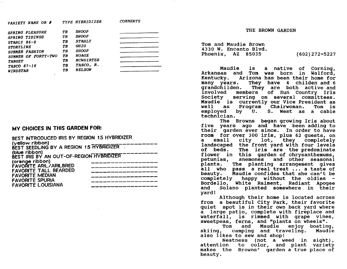*VARIETY NAME OR # TYPE HYBRIDIZER COMMENTS SPRING PLEASURE TB SHOOP SPRING TIDINGS TB SHOOP STAHLY 86-8 TB STAHLY STORYLINE TB GHIO SUMMER FASHION TB SHOOP* 

*SUMMER OF FORTY-TWO TB*<br> *FADGET* TB **TARGET** TB MCWHIRTER<br>
TASCO 87-18 TB TASCO, R. *TASCO 87-18 TB TASCO, R.*   $WINDSTAR$ 

### MY CHOICES IN THIS GARDEN FOR:

| BEST INTRODUCED IRIS BY REGION 15 HYBRIDIZER |  |
|----------------------------------------------|--|
| (yellow ribbon)                              |  |
| BEST SEEDLING BY A REGION 15 HYBRIDIZER      |  |
| (blue ribbon)                                |  |
| BEST IRIS BY AN OUT-OF-REGION HYBRIDIZER     |  |
| (orange ribbon)                              |  |
| <b>FAVORITE ARIL/ARILBRED</b>                |  |
| <b>FAVORITE TALL BEARDED</b>                 |  |
| <b>FAVORITE MEDIAN</b>                       |  |
| <b>FAVORITE SPURIA</b>                       |  |
| <b>FAVORITE LOUISIANA</b>                    |  |
|                                              |  |

THE BROWN GARDEN

Tom and Maudie Brown '4330 W. Encanto Blvd. Phoenix, AZ 85035 (602)272-5227

Maudie is a native of Corning, Arkansas and Tom was born in Walford, Kentucky. Arizona has been their home for many years. They have 4 childen and 6 grandchilden. They are both active and<br>involved members of Sun Country Iris involved members of Sun Country Iris<br>Society serving on several committees. serving on several committees. Maudie is currently our Vice President as well as Program Chairwoman.<br>emploved by U. S. West as S. West as a cable technlcian.

The Browns began growing Iris about five years ago and have been adding to their garden ever since. In order to have room for over 300 iris, plus 62 guests, on<br>a small city lot, they completely landscaped the front yard with four levels<br>of beds. The iris are the predominate The iris are the predominate flower in this garden of chrysanthemums,<br>petunias, anemones and other seasonal<br>plants. The planting arrangement gives all who pass a real treat ... a taste of<br>beauty. Maudie confides that she can't be Maudie confides that she can't be completely happy without the oldies -Bordello, White Raiment, Radiant Apogee<br>and Solano planted somewhere in their<br>vard!

Although their home is located across from a beautiful City Park, their favorite quiet spot is in thelr own back yard where a large patio, complete with fireplace and waterfall, is rimmed with grape vines,

sweetpeas, ferns, and "plants on wheels".<br>Tom and Maudie enjoy boating,<br>skiing, camping and traveling. Maudie skiing, camping and traveling.<br>also likes to sew and shop! also likes to sew and shop!<br>Neatness (not a weed in sight),

attention to color, and plant makes the Browns' garden a true place of beauty. attention to color, and plant variety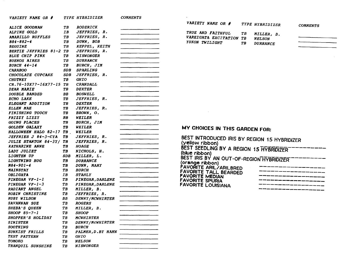| VARIETY NAME OR #              |            | <i>TYPE HYBRIDIZER</i>  | <b>COMMENTS</b>                                                                                                                                                                                                                      |                                                                 |    |                 |                 |
|--------------------------------|------------|-------------------------|--------------------------------------------------------------------------------------------------------------------------------------------------------------------------------------------------------------------------------------|-----------------------------------------------------------------|----|-----------------|-----------------|
|                                |            |                         |                                                                                                                                                                                                                                      | VARIETY NAME OR $#$                                             |    | TYPE HYBRIDIZER |                 |
| ALICE GOODMAN                  | TВ         | <b>RODERICK</b>         |                                                                                                                                                                                                                                      |                                                                 |    |                 | <b>COMMENTS</b> |
| ALPINE GOLD                    | IB         | JEFFRIES, R.            |                                                                                                                                                                                                                                      | TRUE AND FAITHFUL                                               | TВ | MILLER, B.      |                 |
| AMARILLO RUFFLES               | TВ         | JEFFRIES, R.            |                                                                                                                                                                                                                                      | VAREIGATA EXCITATION                                            | TB | <b>NELSON</b>   |                 |
| B84-882-4                      | TВ         | DUNN, BOB               |                                                                                                                                                                                                                                      | YUKON TWILIGHT                                                  | TB | <b>DURRANCE</b> |                 |
| <b>BEGUINE</b>                 | TВ         | KEPPEL, KEITH           |                                                                                                                                                                                                                                      |                                                                 |    |                 |                 |
| <b>BERTIE JEFFRIES 81-2 TB</b> |            | JEFFRIES, R.            | <u> The Common Science of The Common Science of The Common Science of The Common Science of The Common Science of The Common Science of The Common Science of The Common Science of The Common Science of The Common Science of </u> |                                                                 |    |                 |                 |
| <b>BLUE CHIP PINK</b>          | TB         | <b>NISWONGER</b>        |                                                                                                                                                                                                                                      |                                                                 |    |                 |                 |
| <b>BUENOS AIRES</b>            | ТB         | <b>DURRANCE</b>         |                                                                                                                                                                                                                                      |                                                                 |    |                 |                 |
| <b>BURCH 44-14</b>             | TВ         | BURCH, JIM              |                                                                                                                                                                                                                                      |                                                                 |    |                 |                 |
| <b>CARABOO</b>                 | SDB        | SPARLING                |                                                                                                                                                                                                                                      |                                                                 |    |                 |                 |
| CHOCOLATE CUPCAKE              | <b>SDB</b> | JEFFRIES, R.            |                                                                                                                                                                                                                                      |                                                                 |    |                 |                 |
| <b>CHUTNEY</b>                 | ТB         | GHIO                    |                                                                                                                                                                                                                                      |                                                                 |    |                 |                 |
| CR.76-10X77-16X77-15 TB        |            | <b>CRANDALL</b>         |                                                                                                                                                                                                                                      |                                                                 |    |                 |                 |
| <b>DEAR MARIE</b>              | ТB         | <b>DEXTER</b>           |                                                                                                                                                                                                                                      |                                                                 |    |                 |                 |
| <b>DOUBLE BANDED</b>           | BB         | <b>BOSWELL</b>          |                                                                                                                                                                                                                                      |                                                                 |    |                 |                 |
| ECHO LAKE                      | ТB         | JEFFRIES, R.            |                                                                                                                                                                                                                                      |                                                                 |    |                 |                 |
| ELEGANT ADDITION               | TB         | <b>DEXTER</b>           |                                                                                                                                                                                                                                      |                                                                 |    |                 |                 |
| ELLEN MAE                      | TВ         | JEFFRIES, R.            |                                                                                                                                                                                                                                      |                                                                 |    |                 |                 |
| <b>FINISHING TOUCH</b>         | TB         | BROWN, O.               |                                                                                                                                                                                                                                      |                                                                 |    |                 |                 |
| FRIZZY LIZZY                   | BB         | <b>WEILER</b>           |                                                                                                                                                                                                                                      |                                                                 |    |                 |                 |
| GOING PLACES                   | TВ         | <b>BURCH, JIM</b>       |                                                                                                                                                                                                                                      |                                                                 |    |                 |                 |
| GOLDEN GALAXY                  | TB         | <b>WEILER</b>           |                                                                                                                                                                                                                                      | MY CHOICES IN THIS GARDEN FOR:                                  |    |                 |                 |
| HALLOWEEN HALO 82-17           | TB         | <b>WEILER</b>           |                                                                                                                                                                                                                                      |                                                                 |    |                 |                 |
| JEFFRIES J 84-3-CYA            | TВ         | JEFFRIES, R.            |                                                                                                                                                                                                                                      |                                                                 |    |                 |                 |
| JULIE STANTON 84-3Y/           | TB         | JEFFRIES, R.            |                                                                                                                                                                                                                                      | BEST INTRODUCED IRIS BY REGION 15 HYBRIDIZER<br>(yellow ribbon) |    |                 |                 |
| <b>KATHARINE ANNE</b>          | TB         | <b>HOAGE</b>            |                                                                                                                                                                                                                                      |                                                                 |    |                 |                 |
| <i>LADY JULIET</i>             | TB         | NICHOLS, H.             |                                                                                                                                                                                                                                      | BEST SEEDLING BY A REGION 15 HYBRIDIZER                         |    |                 |                 |
| <b>LIGHTEN UP</b>              | SDB        | MILLER, L.              |                                                                                                                                                                                                                                      | (blue ribbon)                                                   |    |                 |                 |
| LIGHTNING BUG                  | TB         | <b>DURRANCE</b>         |                                                                                                                                                                                                                                      | BEST IRIS BY AN OUT-OF-REGION HYBRIDIZER                        |    |                 |                 |
| M84-901-4                      | TВ         | DUNN, MARY              |                                                                                                                                                                                                                                      | (orange ribbon)                                                 |    |                 |                 |
| <i><b>MAINSTAY</b></i>         | TВ         | <i><b>BURCH</b></i>     |                                                                                                                                                                                                                                      | <b>FAVORITE ARIL/ARILBRED</b><br><b>FAVORITE TALL BEARDED</b>   |    |                 |                 |
| <b>OBLIGATA</b>                | IB         | <b>STAHLY</b>           |                                                                                                                                                                                                                                      | <b>FAVORITE MEDIAN</b>                                          |    |                 |                 |
| PINEGAR VF-1-1                 | TB         | <b>PINEGAR, DARLENE</b> |                                                                                                                                                                                                                                      | <b>FAVORITE SPURIA</b>                                          |    |                 |                 |
| PINEGAR VF-1-3                 | TB         | PINEGAR, DARLENE        |                                                                                                                                                                                                                                      | <b>FAVORITE LOUISIANA</b>                                       |    |                 |                 |
| RADIANT ANGEL                  | TВ         | MILLER, B.              |                                                                                                                                                                                                                                      |                                                                 |    |                 |                 |
| <b>ROBIN CHRISTINE</b>         | TВ         | JEFFRIES, R.            |                                                                                                                                                                                                                                      |                                                                 |    |                 |                 |
| <b>RUBY WILSON</b>             | BВ         | DENNY/MCWHIRTER         |                                                                                                                                                                                                                                      |                                                                 |    |                 |                 |
| SAVANNAH SUE                   | TB         | <b>ROGERS</b>           |                                                                                                                                                                                                                                      |                                                                 |    |                 |                 |
| SHEBA'S QUEEN                  | TB         | MILLER, B.              |                                                                                                                                                                                                                                      |                                                                 |    |                 |                 |
| SHOOP $85 - 7 - 1$             | TB         | <b>SHOOP</b>            |                                                                                                                                                                                                                                      |                                                                 |    |                 |                 |
| <b>SHOPPER'S HOLIDAY</b>       | TВ         | <b>MCWHIRTER</b>        |                                                                                                                                                                                                                                      |                                                                 |    |                 |                 |
| <b>SINISTER</b>                | TB         | DENNY/MCWHIRTER         |                                                                                                                                                                                                                                      |                                                                 |    |                 |                 |
| SOOTHING                       | TB         | <b>BURCH</b>            |                                                                                                                                                                                                                                      |                                                                 |    |                 |                 |
| SUNKIST FRILLS                 | TB         | PALMER, D.BY HAHN       |                                                                                                                                                                                                                                      |                                                                 |    |                 |                 |
| <b>TEST PATTERN</b>            | TВ         | <b>GHIO</b>             |                                                                                                                                                                                                                                      |                                                                 |    |                 |                 |
| <b>TOMOKO</b>                  | ΤB         | <b>NELSON</b>           |                                                                                                                                                                                                                                      |                                                                 |    |                 |                 |
| TRANQUIL SUNSHINE              | TВ         | <b>NISWONGER</b>        |                                                                                                                                                                                                                                      |                                                                 |    |                 |                 |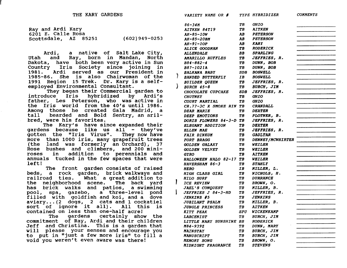| Ray and Ardi Kary    |  |                   |
|----------------------|--|-------------------|
| 6201 E. Calle Rosa   |  |                   |
| Scottsdale, AZ 85251 |  | $(602)949 - 0253$ |

Ardi, a native of Salt Lake City,<br>Utah and Ray, born in Mandan, North Dakota, have both been very active in Sun Country Iris society since joining in 1981. Ardi served as our President in 1985-86. She is also Chairwoman of the 1991 Region 15 Trek. Dr. Kary is a selfemployed Environmental Consultant.

)

They began their Commercial garden to introduce Iris hybridized by Ardi's father, Les Peterson, who was active in the Iris world from the 40's until 1986. Among those he created Gala Madrid, a<br>tall bearded and Bold Sentry, an arilbearded and Bold Sentry, an arilbred, were his favorites.

The Kary's have since expanded their gardens because like us all  $-$  they've gotten the "Iris Virus". They now have more than 1000 iris, many grapefruit trees (the land was formerly an orchard), 37 Rose bushes and climbers, and 200 miniroses in addition to perennials and annuals tucked in the few spaces that were left!

The front garden consists of raised beds, a rock garden, brick walkways and railroad ties. What a great addition to has brick walks and patios, a swimming<br>pool, spa, gazebo, a three-level pond<br>filled with goldfish and koi, and a dove  $\alpha$ viary... (2 dogs, 2 cats and 1 cockatiel sort of ignore it all). All this is contained on less than one-half acre!

The gardens certainly show the commitment of Ray, Ardi and their children Jeff and Christina. This is a garden that will please your senses and encourage you to put in "just a few more iris" to fill a void you weren't even aware was there!

|   | 86–34M                           | TВ        | <i><b>GHIO</b></i>                           |        |
|---|----------------------------------|-----------|----------------------------------------------|--------|
|   | AITKEN 84T19                     | TB        | <i><b>AITKEN</b></i>                         |        |
|   | AK-85-10W                        | AB        | <i><b>PETERSON</b></i>                       |        |
|   | AK-85-20BM                       | AB.       | <b>PETERSON</b>                              |        |
|   | AK-91-1OP                        | AB.       | <b>KARY</b>                                  |        |
|   | ALICE GOODMAN                    | TВ        | <b>RODERICK</b>                              |        |
|   | ALLENDALE                        | <b>BB</b> | SPARLING                                     |        |
|   | <b>AMARILLO RUFFLES</b>          | TB        | JEFFRIES, R.                                 |        |
|   | B84-882-4                        | TB        | DUNN, BOB                                    |        |
|   | B87-1021A                        | TB.       | DUNN, BOB                                    |        |
|   | <b>BALKANA BABY</b>              | SDB       | <b>BOSWELL</b>                               |        |
| Ì | <b>BANDED BUTTERFLY</b>          | IB        | <b>BOSWELL</b>                               |        |
|   | <b>BUILDER QUEEN</b>             | TB.       | JEFFRIES, R.                                 |        |
| ۱ | <b>BURCH 45-8</b>                | TB        | <b>BURCH, JIM</b>                            |        |
|   | CHOCOLATE CUPCAKE                | SDB.      | JEFFRIES, R.                                 |        |
|   | <b>CHUTNEY</b>                   | ТB        | <i><b>GHIO</b></i>                           |        |
|   | COURT MARTIAL                    | TB        | <i><b>GHIO</b></i>                           |        |
|   | CR.77-3C X SMOKE RIN TB          |           | <b>CRANDALL</b>                              |        |
|   | <b>DEAR MARIE</b>                | TB        | <i><b>DEXTER</b></i>                         |        |
|   | DEEP EMOTIONS                    | TB        | PLOTNER, B.                                  |        |
|   | DORIS FLOWERS 84-3-D TB          |           | JEFFRIES, R.                                 |        |
|   | ELEGANT ADDITION                 | TB.       | <i><b>DEXTER</b></i>                         | $\sim$ |
|   | ELLEN MAE                        | TB        | JEFFRIES, R.                                 |        |
|   | <b>FAIR DINKUM</b>               | TB        | <b>GAULTAR</b>                               |        |
|   | <b>FORT BRAGG</b>                | ТB        | <b>DENNEY/MCWHIRTER</b>                      |        |
|   | GOLDEN GALAXY                    | TВ        | <b>WEILER</b>                                |        |
|   | <b>GOLDEN VELVET</b>             | TB.       | <i><b>WEILER</b></i>                         |        |
|   |                                  |           |                                              |        |
|   | <b>GYRO</b>                      | TB.       | <i><b>AITKEN</b></i>                         |        |
|   | HALLOWEEN HALO 82-17 TB          |           | <i><b>WEILER</b></i><br><i><b>STAHLY</b></i> |        |
|   | <i><b>HAVERSHAM 86-3</b></i>     | TB<br>IB  | MILLER, L.                                   |        |
|   | <i><b>HERO</b></i>               |           | NICHOLS, H.                                  |        |
|   | <b>HIGH CLASS GIRL</b>           | TB        |                                              |        |
|   | <b>HILO SURF</b>                 | TB.       | <b>DURRANCE</b>                              |        |
|   | ICE REVIEW                       | TB        | BROWN, O.                                    |        |
|   | JAEL'S CONQUEST                  | TB<br>TB  | MILLER, B.<br>JEFFRIES, R.                   |        |
|   | JEFFRIES J 84-3-HD<br>JENKINS #5 | TB.       | <i><b>JENKINS</b></i>                        |        |
|   | JUBILANT PSALM                   | TB        | MILLER, B.                                   |        |
|   | <b>JUNGLE PRINCESS</b>           | TB        | <b>AITKEN</b>                                |        |
|   | <b>KITT PEAK</b>                 |           | WICKENKAMP                                   |        |
|   |                                  | SPU       |                                              |        |
|   | <i><b>LARCENIST</b></i>          | TВ        | <b>BURCH, JIM</b>                            |        |
|   | LITTLE MARY SUNSHINE BB          |           | RODERICK                                     |        |
|   | M84-939Z                         | TB        | DUNN, MARY                                   |        |
|   | <i><b>MAINSTAY</b></i>           | TB        | <b>BURCH, JIM</b>                            |        |
|   | <b>MANUSCRIPT</b>                | TB        | <b>BURCH, JIM</b>                            |        |
|   | MEMORY SONG                      | TB        | BROWN, O.                                    |        |
|   | <i><b>MIDNIGHT FRAGRANCE</b></i> | TB        | <i><b>STEVENS</b></i>                        |        |

*VARIETY NAME* OR # *TYPE HYBRIDIZER COMMENTS*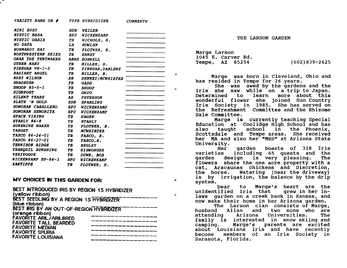*VARIETY NAME OR # TYPE HYBRIDIZER COMMENTS* 

| <i>MINI BUSY</i>           | <b>SDB</b> | <b>WEILER</b>        |  |
|----------------------------|------------|----------------------|--|
| <i><b>MYSTIC MESA</b></i>  | SPU        | WICKENKAMP           |  |
| <i><b>MYSTIC OASIS</b></i> | TB         | NICHOLS, H.          |  |
| NO DATA                    | LA         | <b>ROWLAN</b>        |  |
| NORMANDY BAY               | TB         | PLOTNER, B.          |  |
| <b>NORTHWESTERN SKIES</b>  | ТB         | <b>ERNST</b>         |  |
| OMAR THE TENTMAKER         |            | <b>ABME BOSWELL</b>  |  |
| <b>OTHER MARY</b>          | TB         | MILLER, B.           |  |
| $PINEGAR VH-1-3$           | TB         | PINEGAR, DARLENE     |  |
| <b>RADIANT ANGEL</b>       | TВ         | MILLER, B.           |  |
| <b>RUBY WILSON</b>         | BB         | DENNEY/MCWHIRTER     |  |
| <i><b>SHADBUSH</b></i>     | TB         | <b>GADD</b>          |  |
| SHOOP 85-5-1               | TB         | <b>SHOOP</b>         |  |
| <b>SIGNPOST</b>            | TB         | <b>GHIO</b>          |  |
| <b>SILENT TEARS</b>        | AB.        | <b>PETERSON</b>      |  |
| SLATE 'N GOLD              | SDB        | <b>SPARLING</b>      |  |
| SONORAN CABALLERO          | <b>SPU</b> | WICKENKAMP           |  |
| SONORAN SENORITA           | SPU        | <b>WICKENKAMP</b>    |  |
| <b>SPACE VIKING</b>        | TB.        | <b>HAGER</b>         |  |
| STAHLY 86-8                | TB.        | <i><b>STAHLY</b></i> |  |
| <i>SUNSHINE MAKER</i>      | TB         | PLOTNER, B.          |  |
| <b>TARGET</b>              | TB         | <b>MCWHIRTER</b>     |  |
| <i>TASCO 86-24-01</i>      | ТB         | TASCO, R.            |  |
| TASCO 86-27-01             | TB         | TASCO.R.             |  |
| TENNISON RIDGE             | TB         | <b>BEGLEY</b>        |  |
| <b>TRANQUIL SUNSHINE</b>   | TB —       | <b>NISWONGER</b>     |  |
| <b>VERIVOGUE</b>           | TB         | DUNN, BOB            |  |
| WICKENKAMP SP-84-3         | <b>SPU</b> | WICKENKAMP           |  |
| <b>XANTIPPE</b>            | TВ         | PLOTNER, B.          |  |
|                            |            |                      |  |
|                            |            |                      |  |

# MY CHOICES IN THIS GARDEN FOR:

| BEST INTRODUCED IRIS BY REGION 15 HYBRIDIZER<br>(yellow ribbon) |  |
|-----------------------------------------------------------------|--|
| BEST SEEDLING BY A REGION 15 HYBRIDIZER<br>(blue ribbon)        |  |
| BEST IRIS BY AN OUT-OF-REGION HYBRIDIZER                        |  |
| (orange ribbon)<br>FAVORITE ARIL/ARILBRED                       |  |
| <b>FAVORITE TALL BEARDED</b><br>FAVORITE MEDIAN                 |  |
| FAVORITE SPURIA                                                 |  |
| <b>FAVORITE LOUISIANA</b>                                       |  |
|                                                                 |  |

THE LARSON GARDEN

Marge Larson 1045 E. Carver Rd. Tempe, AZ 85254 (602)839-2625

Marge was born in Cleveland, Ohio and<br>has resided in Tempe for 26 years.

She was awed by the gardens and the Iris she saw while on a trip to Japan. Determined to learn more about this wonderful flower she joined Sun Country Iris Society in 1985. She has served on the Refreshment Committee and the Rhizome Sale Committee.<br>Marge is currently teaching Special

Education at Coolidge High School and has<br>also taught school in the Phoenix. school in the Phoenix, Scottsdale and Tempe areas. She received her MA and also her "MRS" at Arizona State<br>University.

Her garden boasts of 318 Iris<br>varieties including 65 quests and the varieties including 65 quests and the<br>garden design is very pleasing. The design is very pleasing. flowers share the one acre property with a cat, Aracaunas chickens and Discretion, Watering (near the driveway) is by irrigation, the balance by the drip system.<br>Dear

to Marge's heart are the unidentified Iris that grew in her inlaws garden on a creek bank in Kansas, and

now make their home in her Arizona garden.<br>The Larson clan consists of Marge,<br>husband Allan and two sons who are<br>attending Arizona Universities. The Universities. family is interested in snow-skiing-and<br>camping. Marge's parents are excited Marge's parents are excited about Louisiana iris and have recently become members of an Iris Society in Sarasota, Florida.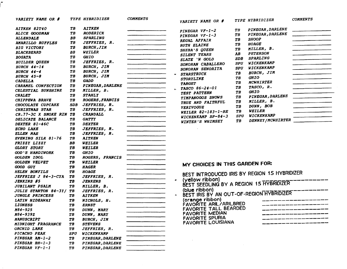| <b>VARIETY NAME OR #</b>          |                   | <b>TYPE HYBRIDIZER</b>  | <b>COMMENTS</b> | VARIETY NAME OR $#$                                          |                   | TYPE HYBRIDIZER   | <b>COMMENTS</b>                                                                                                        |
|-----------------------------------|-------------------|-------------------------|-----------------|--------------------------------------------------------------|-------------------|-------------------|------------------------------------------------------------------------------------------------------------------------|
| AITKEN 82T40                      | TВ                | <b>AITKEN</b>           |                 |                                                              | TB                | PINEGAR, DARLENE  | <u> 1980 - Jan Barbarat, manala</u>                                                                                    |
| <b>ALICE GOODMAN</b>              | ТB                | <b>RODERICK</b>         |                 | PINEGAR VF-1-2                                               | TB                | PINEGAR, DARLENE  | <u> 1980 - Jan Barnett, martin a</u>                                                                                   |
| <b>ALLENDALE</b>                  | BB                | SPARLING                |                 | PINEGAR VF-1-3                                               | TB                | <b>SHOOP</b>      |                                                                                                                        |
| <b>AMARILLO RUFFLES</b>           | ΤB                | JEFFRIES, R.            |                 | REGAL AFFAIR                                                 | TB                | <b>HOAGE</b>      |                                                                                                                        |
| <b>BIG VICTORY</b>                | TB                | <b>BURCH, JIM</b>       |                 | <b>RUTH ELAINE</b>                                           | T B               | MILLER, B.        |                                                                                                                        |
| <b>BLACKBEARD</b>                 | BB                | WEILER                  |                 | SHEBA'S QUEEN<br>SILENT TEARS                                | AB                | <b>PETERSON</b>   |                                                                                                                        |
| <b>BOGATA</b>                     | ΤB                | <b>GHIO</b>             |                 | SLATE 'N GOLD                                                | <i><b>SDB</b></i> | SPARLING          | <u> 1980 - Jan Berlin Berlin Berlin Berlin Berlin Berlin Berlin Berlin Berlin Berlin Berlin Berlin Berlin Berlin B</u> |
| <b>BUILDER QUEEN</b>              | TB                | JEFFRIES, R.            |                 | SONORAN CABALLERO                                            | <b>SPU</b>        | WICKENKAMP        |                                                                                                                        |
| <b>BURCH 44-14</b>                | ТB                | BURCH, JIM              |                 | SONORAN SENORITA                                             | <b>SPU</b>        | WICKENKAMP        |                                                                                                                        |
| $BURCH$ 44-4                      | TB                | <b>BURCH, JIM</b>       |                 | <b>STARSTRUCK</b>                                            | TB                | <b>BURCH, JIM</b> |                                                                                                                        |
| BURCH 45-8                        | ТB                | <b>BURCH, JIM</b>       |                 |                                                              | TB                | <b>GHIO</b>       |                                                                                                                        |
| <b>CADELLA</b>                    | ТB                | <b>GADD</b>             |                 | <b>STORYLINE</b>                                             | TВ                | MCWHIRTER         |                                                                                                                        |
| CARAMEL CONFECTION                | TB                | PINEGAR, DARLENE        |                 | <b>TARGET</b><br>TASCO 86-24-01                              | TB                | TASCO, R.         |                                                                                                                        |
| CELESTIAL SUNSHINE                | TB                | MILLER, B.              |                 | $\sim$<br>TEST PATTERN                                       | T B               | <b>GHIO</b>       |                                                                                                                        |
| <b>CHALET</b>                     | TВ                | <b>STAHLY</b>           |                 | TIMPANOGOS SNOWS                                             | TB                | PINEGAR, DARLENE  | $\overline{\phantom{a}}$ . The contract of the contract of $\overline{\phantom{a}}$                                    |
| CHIPPEWA BRAVE                    | ТB                | <b>ROGERS, FRANCIS</b>  |                 | TRUE AND FAITHFUL                                            | TB                | MILLER, B.        |                                                                                                                        |
| CHOCOLATE CUPCAKE                 | <b>SDB</b>        | JEFFRIES, R.            |                 | <b>VERIVOGUE</b>                                             | ТB                | DUNN, BOB         |                                                                                                                        |
| <b>CHRISTMAS STAR</b>             | ТВ                | JEFFRIES, R.            |                 | WEILER 82-183-1-RE                                           | TB                | <b>WEILER</b>     |                                                                                                                        |
| CR.77-3C X SMOKE RIN              | TB                | <b>CRANDALL</b>         |                 | WICKENKAMP SP-84-3                                           | <b>SPU</b>        | WICKENKAMP        |                                                                                                                        |
| DELICATE BALANCE                  | ТΒ                | <b>GATTY</b>            |                 | WINTER'S WHIMSEY                                             | TB                | DENNEY/MCWHIRTER  |                                                                                                                        |
| DEXTER 81-46C                     | TB                | <b>DEXTER</b>           |                 |                                                              |                   |                   |                                                                                                                        |
| <b>ECHO LAKE</b>                  | ТB                | JEFFRIES, R.            |                 |                                                              |                   |                   |                                                                                                                        |
| <b>ELLEN MAE</b>                  | ТВ                | JEFFRIES, R.            |                 |                                                              |                   |                   |                                                                                                                        |
| EVENING SILK 81-76                | TB                | <b>AITKEN</b>           |                 |                                                              |                   |                   |                                                                                                                        |
| FRIZZY LIZZY                      | BB                | WEILER                  |                 |                                                              |                   |                   |                                                                                                                        |
| <b>GLORY STORY</b>                | TВ                | <b>WEILER</b>           |                 |                                                              |                   |                   |                                                                                                                        |
| <b>GOD'S HANDIWORK</b>            | TВ                | <b>GHIO</b>             |                 |                                                              |                   |                   |                                                                                                                        |
| GOLDEN IDOL                       | TB                | ROGERS, FRANCIS         |                 |                                                              |                   |                   |                                                                                                                        |
| GOLDEN VELVET                     | TB                | <b>WEILER</b>           |                 | MY CHOICES IN THIS GARDEN FOR:                               |                   |                   |                                                                                                                        |
| GOOD GUY                          | TB                | <b>HAGER</b>            |                 |                                                              |                   |                   |                                                                                                                        |
| <b>HELEN BONFILS</b>              | TB                | <b>HOAGE</b>            |                 | BEST INTRODUCED IRIS BY REGION 15 HYBRIDIZER                 |                   |                   |                                                                                                                        |
| <i><b>JEFFRIES J 84-3-CYA</b></i> | TB                | JEFFRIES, R.            |                 |                                                              |                   |                   |                                                                                                                        |
| <b>JENKINS #5</b>                 | ТB                | <b>JENKENS</b>          |                 | (yellow ribbon)<br>۰                                         |                   |                   |                                                                                                                        |
| <b>JUBILANT PSALM</b>             | TВ                | MILLER, B.              |                 | BEST SEEDLING BY A REGION 15 HYBRIDIZER                      |                   |                   |                                                                                                                        |
| JULIE STANTON 84-3Y/              | TB                | JEFFRIES, R.            |                 | (blue ribbon)                                                |                   |                   |                                                                                                                        |
| <b>JUNGLE PRINCESS</b>            | ТB                | <b>AITKEN</b>           |                 | BEST IRIS BY AN OUT-OF-REGION HYBRIDIZER<br>$\blacktriangle$ |                   |                   |                                                                                                                        |
| LATIN HIDEAWAY                    | TВ                | NICHOLS, H.             |                 | (orange ribbon)                                              |                   |                   |                                                                                                                        |
| <b>LIONESS</b>                    | TB                | <b>ERNST</b>            |                 | FAVORITE ARIL/ARILBRED                                       |                   |                   |                                                                                                                        |
| M84-925                           | ТB                | DUNN, MARY              |                 | <b>FAVORITE TALL BEARDED</b>                                 |                   |                   | and their state and was some some some some more and was a security of the                                             |
| M84-939Z                          | TВ                | DUNN, MARY              |                 | FAVORITE MEDIAN                                              |                   |                   |                                                                                                                        |
| <b>MANUSCRIPT</b>                 | TВ                | <b>BURCH, JIM</b>       |                 | <b>FAVORITE SPURIA</b>                                       |                   |                   |                                                                                                                        |
| MIDNIGHT FRAGRANCE                | TВ                | <b>STEVENS</b>          |                 | <b>FAVORITE LOUISIANA</b>                                    |                   |                   |                                                                                                                        |
| ORCHID LANE                       | TB                | JEFFRIES, R.            |                 |                                                              |                   |                   |                                                                                                                        |
| PICACHO PEAK                      | <i><b>SPU</b></i> | WICKENKAMP              |                 |                                                              |                   |                   |                                                                                                                        |
| PINEGAR AM-1-2                    | TВ                | PINEGAR, DARLENE        |                 |                                                              |                   |                   |                                                                                                                        |
| PINEGAR BH-1-3                    | TB                | <b>PINEGAR, DARLENE</b> |                 |                                                              |                   |                   |                                                                                                                        |
| $PINEGAR VF-1-1$                  | TВ                | PINEGAR, DARLENE        |                 |                                                              |                   |                   |                                                                                                                        |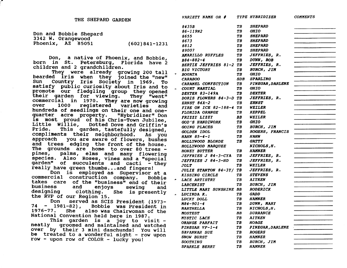| Don and Bobbie Shepard |                   |
|------------------------|-------------------|
| 3342 W. Orangewood     |                   |
| Phoenix, AZ 85051      | $(602)841 - 1231$ |

Don, a native of Phoenix, and Bobbie, born in St. Petersburg, Florida have 2 children and 2 grandchildren.

They were already growing 200 tall bearded iris when they joined the "new"<br>Sun Country Tris Society in 1969, To Country Iris Soclety in 1969. To satisfy public curiosity about Iris and to promote our fledgling group they opened<br>their garden for viewing. They "went" commercial in 1970. They are now growing<br>over 1000 registered varieties and 1000 registered hundreds of seedlings on their one and one-<br>quarter acre property. "Hybridizer" Don quarter acre property. 1S most proud of his Chris-Town Jubilee, Little Willie, Dotted Dove and Griffin's This garden, tastefully designed, compliments their neighborhood. As you approach you are aware of flowers, bushes and trees edging the front of the house.<br>The grounds are home to over 80 trees pines, palms, elms and many flowering<br>species. Also Roses, vines and a "special<br>garden" of succulents and cacti - they<br>really have green thumbs...and fingers!

Don is employed as Supervisor at a commercial construction company. Bobbie takes care of the "business" end of their business and enjoys sewing and business and enjoys sewing and<br>designing clothing. She is presently<br>the RVP of our Region 15.<br>Don served as SCIS President (1973-

served as SCIS President (1973- $74 - 1981-82$ ), Bobbie was President in  $1976-77$ . She also was Chairwoman of the also was Chairwoman of the National Convention held here in 1987.

This garden is a joy to visit -<br>neatly groomed and maintained and watched groomed and maintained and watched over by their 3 mini daschunds! You will be treated to a wonderful sight - row upon row - upon row of COLOR - lucky you!

|    | <i><b>VARIETY NAME OR #</b></i> |     | <i>TYPE HYBRIDIZER</i>         | <b>COMMENTS</b> |
|----|---------------------------------|-----|--------------------------------|-----------------|
|    | 8435B                           | TB  | <b>SHEPARD</b>                 |                 |
|    | 86-119N2                        | TB  | <i><b>GHIO</b></i>             |                 |
|    | 8655                            | TB  | <b>SHEPARD</b>                 |                 |
|    | 8673                            | TB  | <b>SHEPARD</b>                 |                 |
|    | 8812                            | TB. | <i><b>SHEPARD</b></i>          |                 |
|    | 89007                           | TB  | <b>SHEPARD</b>                 |                 |
|    | <b>AMARILLO RUFFLES</b>         | TB  | JEFFRIES, R.                   |                 |
|    | B84-882-4                       | TB  | DUNN, BOB                      |                 |
|    | <b>BERTIE JEFFRIES 81-2 TB</b>  |     | JEFFRIES, R.                   |                 |
|    | <b>BIG VICTORY</b>              | TB  | <b>BURCH, JIM</b>              |                 |
| Ψ  | <b>BOGATA</b>                   | TB. | <i><b>GHIO</b></i>             |                 |
|    | <b>CARABOO</b>                  | SDB | <b>SPARLING</b>                |                 |
|    | CARAMEL CONFECTION              | TB. | <b>PINEGAR, DARLENE</b>        |                 |
| ę, | <b>COURT MARTIAL</b>            | TB  | <b>GHIO</b>                    |                 |
|    | DEXTER 83-149A                  | TB  | <i><b>DEXTER</b></i>           |                 |
|    | DORIS FLOWERS 84-3-D TB         |     | JEFFRIES, R.                   |                 |
|    | ERNST 84X-2                     | TB  | <b>ERNST</b>                   |                 |
|    | FIRE ON ICE 82-188-4 TB         |     | WEILER                         |                 |
|    | <b>FLORIDA ORANGE</b>           | ТB  | <i><b>KEPPEL</b></i>           |                 |
|    | FRIZZY LIZZY                    | BB. | <b>WEILER</b>                  |                 |
|    | GOD'S HANDIWORK                 | TB  | <i><b>GHIO</b></i>             |                 |
|    | GOING PLACES                    | TB  | <b>BURCH, JIM</b>              |                 |
|    | GOLDEN IDOL                     | TB  | ROGERS, FRANCIS                |                 |
|    | HAHN $85 - 4 - 1$               | TB  | <i><b>HAHN</b></i>             |                 |
|    | HOLLYWOOD BLONDE                | TB  | <i><b>GATTY</b></i>            |                 |
|    | HOLLYWOOD MARQUEE               |     | NICHOLS, H.                    |                 |
|    | <b>HONEY BUTTER</b>             | TB  | <b>HAMNER</b>                  |                 |
|    | JEFFRIES J 84-3-CYA             | TВ  | JEFFRIES, R.                   |                 |
|    | JEFFRIES J 84-3-HD              | ТB  | JEFFRIES, R.                   |                 |
|    | <i><b>JOLT</b></i>              | TB  | <i><b>WEILER</b></i>           |                 |
|    | JULIE STANTON 84-3Y/ TB         |     | <i>JEFFRIES, R.</i>            |                 |
|    | KISSING CIRCLE                  | TB. | <b>STEVENS</b>                 |                 |
| ۰  | LACE ARTISTRY                   | TB  | AITKEN                         |                 |
|    | <b>LARCENIST</b>                | TB  | <b>BURCH, JIM</b>              |                 |
|    | LITTLE MARY SUNSHINE BB         |     | <i><b>RODERICK</b></i>         |                 |
|    | LUCINDA K.                      | TB  | <b>GADD</b>                    |                 |
|    | LUCKY DOLL                      | TB  | <b>HAMNER</b>                  |                 |
|    | M84-901-4                       | TВ  | DUNN, MARY                     |                 |
|    | <b>MARTHELLA</b>                | TB  | NICHOLS, H.                    |                 |
|    | <i><b>MOSTEST</b></i>           | BB  | <i><b>DURRANCE</b></i>         |                 |
|    | <i>MYSTIC LACE</i>              | TB  | <i><b>AITKEN</b></i>           |                 |
|    | ORANGE PARFAIT                  | ТB  | HOAGE                          |                 |
|    | PINEGAR VF-1-4                  | TB  | <i><b>PINEGAR, DARLENE</b></i> |                 |
|    | <i>SAVANNAH SUE</i>             | TВ  | <i><b>ROGERS</b></i>           |                 |
|    | <b>SNOW BURST</b>               | TB. | <i><b>HAMNER</b></i>           |                 |
|    | <i><b>SOOTHING</b></i>          | TB  | <b>BURCH, JIM</b>              |                 |
|    | <i>SPARKLE BERRY</i>            | TB  | <i><b>HAMNER</b></i>           |                 |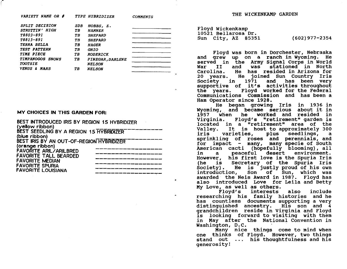|     |                | <b>COMMENTS</b>                                                                                                                             |
|-----|----------------|---------------------------------------------------------------------------------------------------------------------------------------------|
| SDB |                |                                                                                                                                             |
| TВ  | <b>HAMNER</b>  |                                                                                                                                             |
| TB  | <b>SHEPARD</b> |                                                                                                                                             |
| TB  | <b>SHEPARD</b> |                                                                                                                                             |
| TB  |                |                                                                                                                                             |
| TB  |                |                                                                                                                                             |
| TВ  |                |                                                                                                                                             |
| TB  |                |                                                                                                                                             |
|     |                |                                                                                                                                             |
| TB  |                |                                                                                                                                             |
|     |                | TYPE HYBRIDIZER<br>HOBBS, E.<br><b>HAGER</b><br><i><b>GHIO</b></i><br><b>RODERICK</b><br>PINEGAR, DARLENE<br><b>NELSON</b><br><b>NELSON</b> |

### MY CHOICES IN THIS GARDEN FOR:

 $\bigl(\begin{array}{c} 0 \ 0 \end{array}\bigr)$ 

| BEST INTRODUCED IRIS BY REGION 15 HYBRIDIZER |  |
|----------------------------------------------|--|
| (yellow ribbon)                              |  |
| BEST SEEDLING BY A REGION 15 HYBRIDIZER      |  |
| (blue ribbon)                                |  |
| BEST IRIS BY AN OUT-OF-REGION HYBRIDIZER     |  |
| (orange ribbon)                              |  |
| <b>FAVORITE ARIL/ARILBRED</b>                |  |
| <b>FAVORITE TALL BEARDED</b>                 |  |
| <b>FAVORITE MEDIAN</b>                       |  |
| <b>FAVORITE SPURIA</b>                       |  |
| <b>FAVORITE LOUISIANA</b>                    |  |
|                                              |  |

---------------~-

..

THE WICKENKAMP GARDEN

Floyd Wickenkamp 10521 Bellarosa Dr. Sun City, AZ 85351 (602)977-2354

Floyd was born in Dorchester, Nebraska and grew up on a ranch in wyoming. He served in the Army Signal Corps in World<br>War II and was stationed in North War II and was stationed in North<br>Carolina. He has resided in Arizona for He has resided in Arizona for 20 years. He joined Sun Country Iris<br>Society in 1971 and has been verv supportive of it's activities throughout<br>the years. Floyd worked for the Federal communications commission and has been a Ham Operator since 1928.

He began growing Iris in 1936 in Wyoming, and became serious about it in 1957 when he worked and resided in virginia. Floyd's "retirement" garden is located in a "retirement" area of the Valley. It is host to approximately 300 valley. It is nost to approximately 500<br>iris varieties, plus seedlings, a iris varieties, plus seedlings, a<br>sprinkling of roses and perennials, and for impact - many, many specie of South American cacti (hopefully blooming), all<br>in a peaceful desert environment. peaceful desert environment. However, his first love is the Spuria Iris<br>(he is Secretary of the Spuria Iris Secretary of the Spuria Iris Society). He is justly proud of his own introduction, Son of Sun, which was awarded the Neis Award in 1987. Floyd has also introduced Love for Leila and Betty<br>My Love, as well as others.<br>Flovd's interests also include

Floyd's interests also researching his family histories and he has countless documents supporting a very<br>distinguished ancestry. His son and 4 grandchildren reside in Virginia and Floyd is looking forward to visiting with them in May after the National Convention in Washington, D.C.

Many nice things come to mind when one thinks of Floyd. However, two things stand out ... his thoughtfulness and his generosity!